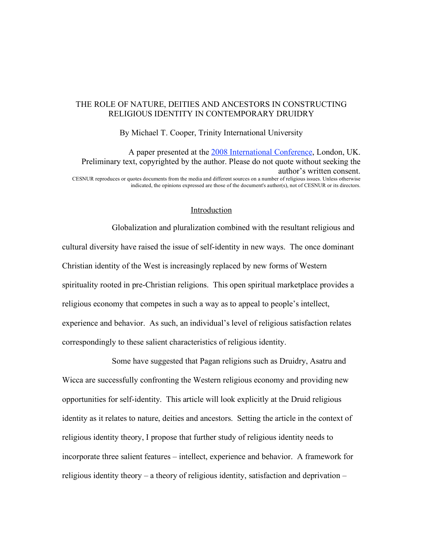# THE ROLE OF NATURE, DEITIES AND ANCESTORS IN CONSTRUCTING RELIGIOUS IDENTITY IN CONTEMPORARY DRUIDRY

By Michael T. Cooper, Trinity International University

A paper presented at the 2008 International Conference, London, UK. Preliminary text, copyrighted by the author. Please do not quote without seeking the author's written consent. CESNUR reproduces or quotes documents from the media and different sources on a number of religious issues. Unless otherwise indicated, the opinions expressed are those of the document's author(s), not of CESNUR or its directors.

## Introduction

Globalization and pluralization combined with the resultant religious and cultural diversity have raised the issue of self-identity in new ways. The once dominant Christian identity of the West is increasingly replaced by new forms of Western spirituality rooted in pre-Christian religions. This open spiritual marketplace provides a religious economy that competes in such a way as to appeal to people's intellect, experience and behavior. As such, an individual's level of religious satisfaction relates correspondingly to these salient characteristics of religious identity.

Some have suggested that Pagan religions such as Druidry, Asatru and Wicca are successfully confronting the Western religious economy and providing new opportunities for self-identity. This article will look explicitly at the Druid religious identity as it relates to nature, deities and ancestors. Setting the article in the context of religious identity theory, I propose that further study of religious identity needs to incorporate three salient features – intellect, experience and behavior. A framework for religious identity theory – a theory of religious identity, satisfaction and deprivation –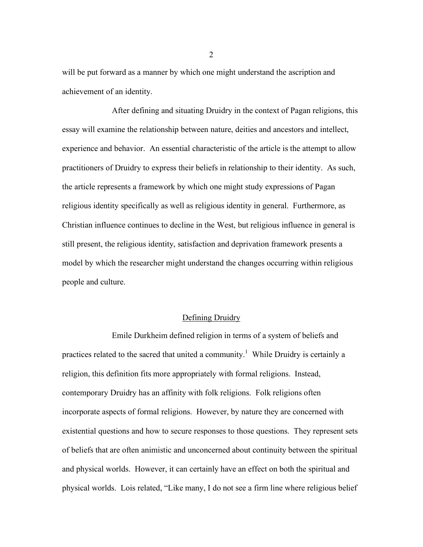will be put forward as a manner by which one might understand the ascription and achievement of an identity.

After defining and situating Druidry in the context of Pagan religions, this essay will examine the relationship between nature, deities and ancestors and intellect, experience and behavior. An essential characteristic of the article is the attempt to allow practitioners of Druidry to express their beliefs in relationship to their identity. As such, the article represents a framework by which one might study expressions of Pagan religious identity specifically as well as religious identity in general. Furthermore, as Christian influence continues to decline in the West, but religious influence in general is still present, the religious identity, satisfaction and deprivation framework presents a model by which the researcher might understand the changes occurring within religious people and culture.

### Defining Druidry

Emile Durkheim defined religion in terms of a system of beliefs and practices related to the sacred that united a community.<sup>1</sup> While Druidry is certainly a religion, this definition fits more appropriately with formal religions. Instead, contemporary Druidry has an affinity with folk religions. Folk religions often incorporate aspects of formal religions. However, by nature they are concerned with existential questions and how to secure responses to those questions. They represent sets of beliefs that are often animistic and unconcerned about continuity between the spiritual and physical worlds. However, it can certainly have an effect on both the spiritual and physical worlds. Lois related, "Like many, I do not see a firm line where religious belief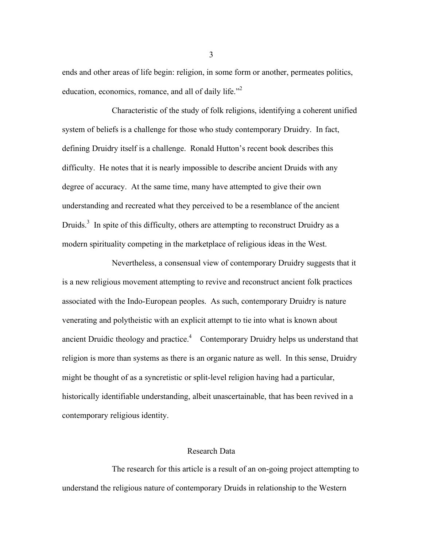ends and other areas of life begin: religion, in some form or another, permeates politics, education, economics, romance, and all of daily life."<sup>2</sup>

Characteristic of the study of folk religions, identifying a coherent unified system of beliefs is a challenge for those who study contemporary Druidry. In fact, defining Druidry itself is a challenge. Ronald Hutton's recent book describes this difficulty. He notes that it is nearly impossible to describe ancient Druids with any degree of accuracy. At the same time, many have attempted to give their own understanding and recreated what they perceived to be a resemblance of the ancient Druids.<sup>3</sup> In spite of this difficulty, others are attempting to reconstruct Druidry as a modern spirituality competing in the marketplace of religious ideas in the West.

Nevertheless, a consensual view of contemporary Druidry suggests that it is a new religious movement attempting to revive and reconstruct ancient folk practices associated with the Indo-European peoples. As such, contemporary Druidry is nature venerating and polytheistic with an explicit attempt to tie into what is known about ancient Druidic theology and practice.<sup>4</sup> Contemporary Druidry helps us understand that religion is more than systems as there is an organic nature as well. In this sense, Druidry might be thought of as a syncretistic or split-level religion having had a particular, historically identifiable understanding, albeit unascertainable, that has been revived in a contemporary religious identity.

### Research Data

The research for this article is a result of an on-going project attempting to understand the religious nature of contemporary Druids in relationship to the Western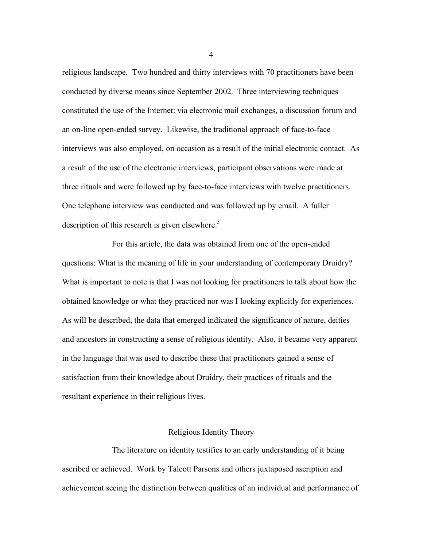religious landscape. Two hundred and thirty interviews with 70 practitioners have been conducted by diverse means since September 2002. Three interviewing techniques constituted the use of the Internet: via electronic mail exchanges, a discussion forum and an on-line open-ended survey. Likewise, the traditional approach of face-to-face interviews was also employed, on occasion as a result of the initial electronic contact. As a result of the use of the electronic interviews, participant observations were made at three rituals and were followed up by face-to-face interviews with twelve practitioners. One telephone interview was conducted and was followed up by email. A fuller description of this research is given elsewhere.<sup>5</sup>

For this article, the data was obtained from one of the open-ended questions: What is the meaning of life in your understanding of contemporary Druidry? What is important to note is that I was not looking for practitioners to talk about how the obtained knowledge or what they practiced nor was I looking explicitly for experiences. As will be described, the data that emerged indicated the significance of nature, deities and ancestors in constructing a sense of religious identity. Also, it became very apparent in the language that was used to describe these that practitioners gained a sense of satisfaction from their knowledge about Druidry, their practices of rituals and the resultant experience in their religious lives.

## Religious Identity Theory

The literature on identity testifies to an early understanding of it being ascribed or achieved. Work by Talcott Parsons and others juxtaposed ascription and achievement seeing the distinction between qualities of an individual and performance of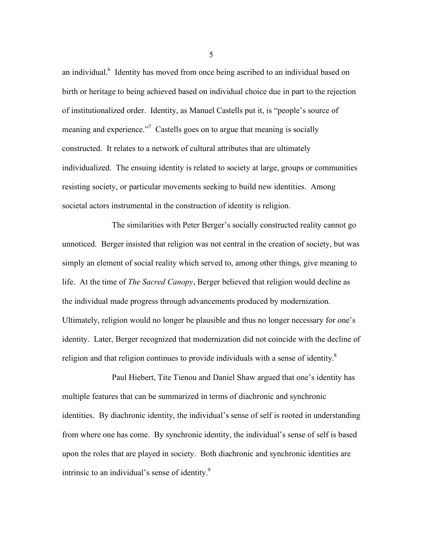an individual.<sup>6</sup> Identity has moved from once being ascribed to an individual based on birth or heritage to being achieved based on individual choice due in part to the rejection of institutionalized order. Identity, as Manuel Castells put it, is "people's source of meaning and experience.<sup>77</sup> Castells goes on to argue that meaning is socially constructed. It relates to a network of cultural attributes that are ultimately individualized. The ensuing identity is related to society at large, groups or communities resisting society, or particular movements seeking to build new identities. Among societal actors instrumental in the construction of identity is religion.

The similarities with Peter Berger's socially constructed reality cannot go unnoticed. Berger insisted that religion was not central in the creation of society, but was simply an element of social reality which served to, among other things, give meaning to life. At the time of *The Sacred Canopy*, Berger believed that religion would decline as the individual made progress through advancements produced by modernization. Ultimately, religion would no longer be plausible and thus no longer necessary for one's identity. Later, Berger recognized that modernization did not coincide with the decline of religion and that religion continues to provide individuals with a sense of identity. $^8$ 

Paul Hiebert, Tite Tienou and Daniel Shaw argued that one's identity has multiple features that can be summarized in terms of diachronic and synchronic identities. By diachronic identity, the individual's sense of self is rooted in understanding from where one has come. By synchronic identity, the individual's sense of self is based upon the roles that are played in society. Both diachronic and synchronic identities are intrinsic to an individual's sense of identity.<sup>9</sup>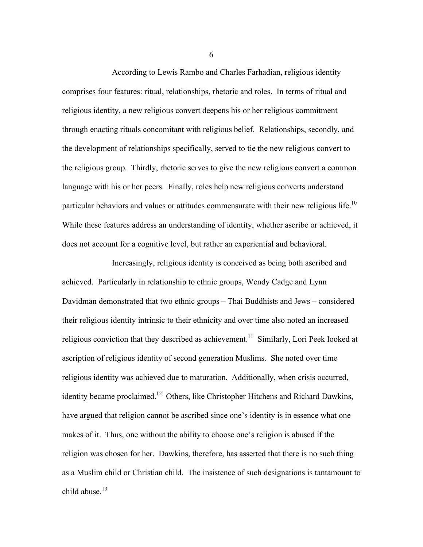According to Lewis Rambo and Charles Farhadian, religious identity comprises four features: ritual, relationships, rhetoric and roles. In terms of ritual and religious identity, a new religious convert deepens his or her religious commitment through enacting rituals concomitant with religious belief. Relationships, secondly, and the development of relationships specifically, served to tie the new religious convert to the religious group. Thirdly, rhetoric serves to give the new religious convert a common language with his or her peers. Finally, roles help new religious converts understand particular behaviors and values or attitudes commensurate with their new religious life.<sup>10</sup> While these features address an understanding of identity, whether ascribe or achieved, it does not account for a cognitive level, but rather an experiential and behavioral.

Increasingly, religious identity is conceived as being both ascribed and achieved. Particularly in relationship to ethnic groups, Wendy Cadge and Lynn Davidman demonstrated that two ethnic groups – Thai Buddhists and Jews – considered their religious identity intrinsic to their ethnicity and over time also noted an increased religious conviction that they described as achievement.<sup>11</sup> Similarly, Lori Peek looked at ascription of religious identity of second generation Muslims. She noted over time religious identity was achieved due to maturation. Additionally, when crisis occurred, identity became proclaimed.<sup>12</sup> Others, like Christopher Hitchens and Richard Dawkins, have argued that religion cannot be ascribed since one's identity is in essence what one makes of it. Thus, one without the ability to choose one's religion is abused if the religion was chosen for her. Dawkins, therefore, has asserted that there is no such thing as a Muslim child or Christian child. The insistence of such designations is tantamount to child abuse.<sup>13</sup>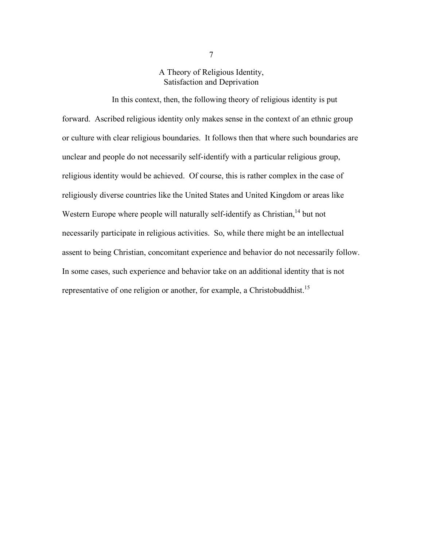A Theory of Religious Identity, Satisfaction and Deprivation

In this context, then, the following theory of religious identity is put forward. Ascribed religious identity only makes sense in the context of an ethnic group or culture with clear religious boundaries. It follows then that where such boundaries are unclear and people do not necessarily self-identify with a particular religious group, religious identity would be achieved. Of course, this is rather complex in the case of religiously diverse countries like the United States and United Kingdom or areas like Western Europe where people will naturally self-identify as Christian, <sup>14</sup> but not necessarily participate in religious activities. So, while there might be an intellectual assent to being Christian, concomitant experience and behavior do not necessarily follow. In some cases, such experience and behavior take on an additional identity that is not representative of one religion or another, for example, a Christobuddhist.<sup>15</sup>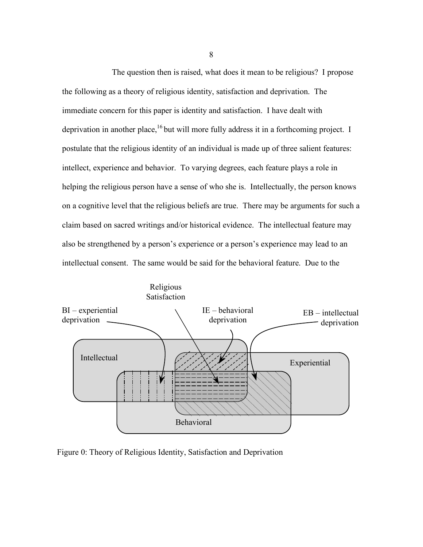The question then is raised, what does it mean to be religious? I propose the following as a theory of religious identity, satisfaction and deprivation. The immediate concern for this paper is identity and satisfaction. I have dealt with deprivation in another place, <sup>16</sup> but will more fully address it in a forthcoming project. I postulate that the religious identity of an individual is made up of three salient features: intellect, experience and behavior. To varying degrees, each feature plays a role in helping the religious person have a sense of who she is. Intellectually, the person knows on a cognitive level that the religious beliefs are true. There may be arguments for such a claim based on sacred writings and/or historical evidence. The intellectual feature may also be strengthened by a person's experience or a person's experience may lead to an intellectual consent. The same would be said for the behavioral feature. Due to the



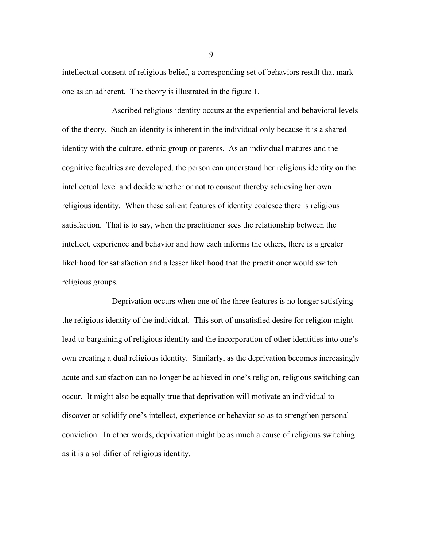intellectual consent of religious belief, a corresponding set of behaviors result that mark one as an adherent. The theory is illustrated in the figure 1.

Ascribed religious identity occurs at the experiential and behavioral levels of the theory. Such an identity is inherent in the individual only because it is a shared identity with the culture, ethnic group or parents. As an individual matures and the cognitive faculties are developed, the person can understand her religious identity on the intellectual level and decide whether or not to consent thereby achieving her own religious identity. When these salient features of identity coalesce there is religious satisfaction. That is to say, when the practitioner sees the relationship between the intellect, experience and behavior and how each informs the others, there is a greater likelihood for satisfaction and a lesser likelihood that the practitioner would switch religious groups.

Deprivation occurs when one of the three features is no longer satisfying the religious identity of the individual. This sort of unsatisfied desire for religion might lead to bargaining of religious identity and the incorporation of other identities into one's own creating a dual religious identity. Similarly, as the deprivation becomes increasingly acute and satisfaction can no longer be achieved in one's religion, religious switching can occur. It might also be equally true that deprivation will motivate an individual to discover or solidify one's intellect, experience or behavior so as to strengthen personal conviction. In other words, deprivation might be as much a cause of religious switching as it is a solidifier of religious identity.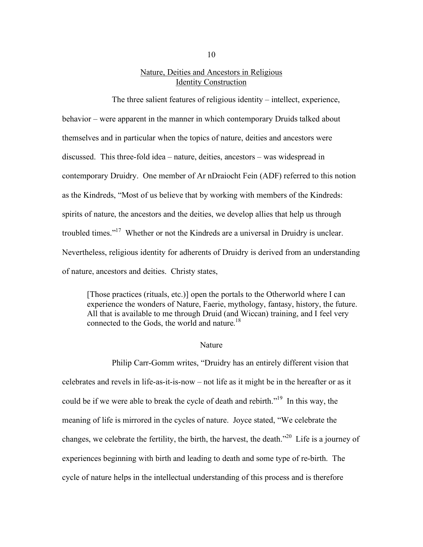# Nature, Deities and Ancestors in Religious Identity Construction

The three salient features of religious identity – intellect, experience, behavior – were apparent in the manner in which contemporary Druids talked about themselves and in particular when the topics of nature, deities and ancestors were discussed. This three-fold idea – nature, deities, ancestors – was widespread in contemporary Druidry. One member of Ar nDraiocht Fein (ADF) referred to this notion as the Kindreds, "Most of us believe that by working with members of the Kindreds: spirits of nature, the ancestors and the deities, we develop allies that help us through troubled times."<sup>17</sup> Whether or not the Kindreds are a universal in Druidry is unclear. Nevertheless, religious identity for adherents of Druidry is derived from an understanding of nature, ancestors and deities. Christy states,

[Those practices (rituals, etc.)] open the portals to the Otherworld where I can experience the wonders of Nature, Faerie, mythology, fantasy, history, the future. All that is available to me through Druid (and Wiccan) training, and I feel very connected to the Gods, the world and nature. 18

#### Nature

Philip Carr-Gomm writes, "Druidry has an entirely different vision that celebrates and revels in life-as-it-is-now – not life as it might be in the hereafter or as it could be if we were able to break the cycle of death and rebirth."<sup>19</sup> In this way, the meaning of life is mirrored in the cycles of nature. Joyce stated, "We celebrate the changes, we celebrate the fertility, the birth, the harvest, the death. $2^{20}$  Life is a journey of experiences beginning with birth and leading to death and some type of re-birth. The cycle of nature helps in the intellectual understanding of this process and is therefore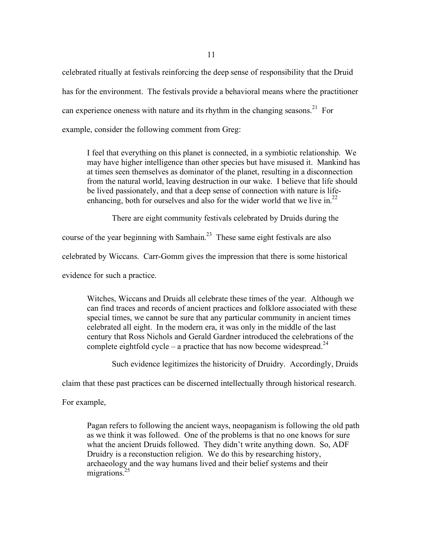11

celebrated ritually at festivals reinforcing the deep sense of responsibility that the Druid has for the environment. The festivals provide a behavioral means where the practitioner can experience oneness with nature and its rhythm in the changing seasons.<sup>21</sup> For example, consider the following comment from Greg:

I feel that everything on this planet is connected, in a symbiotic relationship. We may have higher intelligence than other species but have misused it. Mankind has at times seen themselves as dominator of the planet, resulting in a disconnection from the natural world, leaving destruction in our wake. I believe that life should be lived passionately, and that a deep sense of connection with nature is lifeenhancing, both for ourselves and also for the wider world that we live in.<sup>22</sup>

There are eight community festivals celebrated by Druids during the

course of the year beginning with Samhain.<sup>23</sup> These same eight festivals are also

celebrated by Wiccans. Carr-Gomm gives the impression that there is some historical

evidence for such a practice.

Witches, Wiccans and Druids all celebrate these times of the year. Although we can find traces and records of ancient practices and folklore associated with these special times, we cannot be sure that any particular community in ancient times celebrated all eight. In the modern era, it was only in the middle of the last century that Ross Nichols and Gerald Gardner introduced the celebrations of the complete eightfold cycle – a practice that has now become widespread.<sup>24</sup>

Such evidence legitimizes the historicity of Druidry. Accordingly, Druids

claim that these past practices can be discerned intellectually through historical research.

For example,

Pagan refers to following the ancient ways, neopaganism is following the old path as we think it was followed. One of the problems is that no one knows for sure what the ancient Druids followed. They didn't write anything down. So, ADF Druidry is a reconstuction religion. We do this by researching history, archaeology and the way humans lived and their belief systems and their migrations.<sup>25</sup>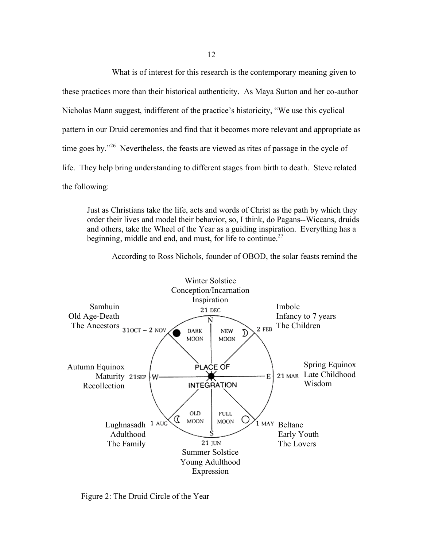What is of interest for this research is the contemporary meaning given to

these practices more than their historical authenticity. As Maya Sutton and her co-author Nicholas Mann suggest, indifferent of the practice's historicity, "We use this cyclical pattern in our Druid ceremonies and find that it becomes more relevant and appropriate as time goes by."<sup>26</sup> Nevertheless, the feasts are viewed as rites of passage in the cycle of life. They help bring understanding to different stages from birth to death. Steve related the following:

Just as Christians take the life, acts and words of Christ as the path by which they order their lives and model their behavior, so, I think, do Pagans--Wiccans, druids and others, take the Wheel of the Year as a guiding inspiration. Everything has a beginning, middle and end, and must, for life to continue.<sup>27</sup>



According to Ross Nichols, founder of OBOD, the solar feasts remind the

Figure 2: The Druid Circle of the Year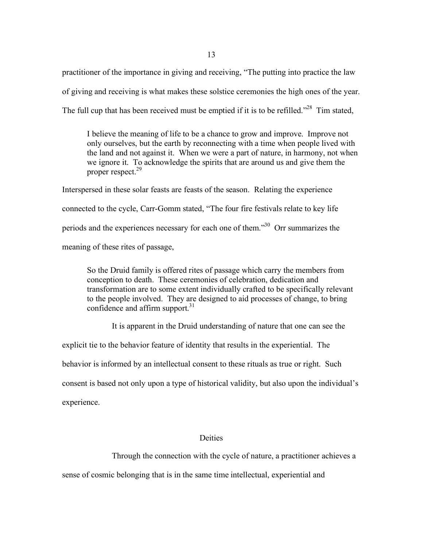practitioner of the importance in giving and receiving, "The putting into practice the law of giving and receiving is what makes these solstice ceremonies the high ones of the year. The full cup that has been received must be emptied if it is to be refilled.<sup> $28$ </sup> Tim stated,

I believe the meaning of life to be a chance to grow and improve. Improve not only ourselves, but the earth by reconnecting with a time when people lived with the land and not against it. When we were a part of nature, in harmony, not when we ignore it. To acknowledge the spirits that are around us and give them the proper respect.<sup>29</sup>

Interspersed in these solar feasts are feasts of the season. Relating the experience connected to the cycle, Carr-Gomm stated, "The four fire festivals relate to key life periods and the experiences necessary for each one of them."<sup>30</sup> Orr summarizes the meaning of these rites of passage,

So the Druid family is offered rites of passage which carry the members from conception to death. These ceremonies of celebration, dedication and transformation are to some extent individually crafted to be specifically relevant to the people involved. They are designed to aid processes of change, to bring confidence and affirm support. 31

It is apparent in the Druid understanding of nature that one can see the

explicit tie to the behavior feature of identity that results in the experiential. The

behavior is informed by an intellectual consent to these rituals as true or right. Such

consent is based not only upon a type of historical validity, but also upon the individual's

experience.

### **Deities**

Through the connection with the cycle of nature, a practitioner achieves a

sense of cosmic belonging that is in the same time intellectual, experiential and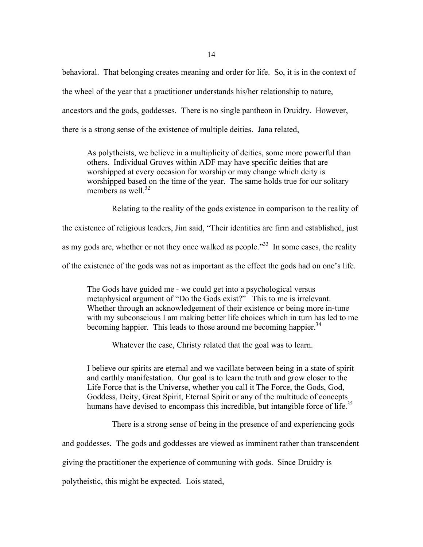14

behavioral. That belonging creates meaning and order for life. So, it is in the context of the wheel of the year that a practitioner understands his/her relationship to nature, ancestors and the gods, goddesses. There is no single pantheon in Druidry. However, there is a strong sense of the existence of multiple deities. Jana related,

As polytheists, we believe in a multiplicity of deities, some more powerful than others. Individual Groves within ADF may have specific deities that are worshipped at every occasion for worship or may change which deity is worshipped based on the time of the year. The same holds true for our solitary members as well.<sup>32</sup>

Relating to the reality of the gods existence in comparison to the reality of

the existence of religious leaders, Jim said, "Their identities are firm and established, just

as my gods are, whether or not they once walked as people.<sup>33</sup> In some cases, the reality

of the existence of the gods was not as important as the effect the gods had on one's life.

The Gods have guided me - we could get into a psychological versus metaphysical argument of "Do the Gods exist?" This to me is irrelevant. Whether through an acknowledgement of their existence or being more in-tune with my subconscious I am making better life choices which in turn has led to me becoming happier. This leads to those around me becoming happier.<sup>34</sup>

Whatever the case, Christy related that the goal was to learn.

I believe our spirits are eternal and we vacillate between being in a state of spirit and earthly manifestation. Our goal is to learn the truth and grow closer to the Life Force that is the Universe, whether you call it The Force, the Gods, God, Goddess, Deity, Great Spirit, Eternal Spirit or any of the multitude of concepts humans have devised to encompass this incredible, but intangible force of life.<sup>35</sup>

There is a strong sense of being in the presence of and experiencing gods

and goddesses. The gods and goddesses are viewed as imminent rather than transcendent

giving the practitioner the experience of communing with gods. Since Druidry is

polytheistic, this might be expected. Lois stated,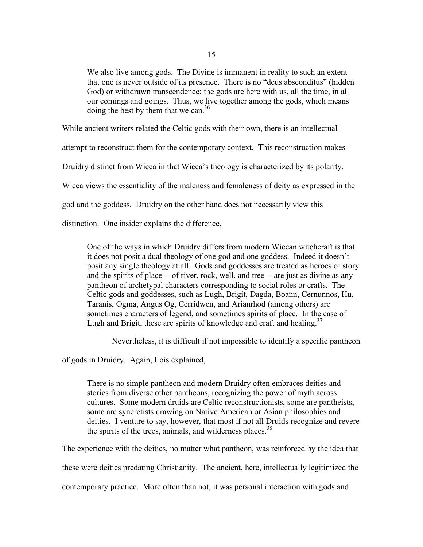We also live among gods. The Divine is immanent in reality to such an extent that one is never outside of its presence. There is no "deus absconditus" (hidden God) or withdrawn transcendence: the gods are here with us, all the time, in all our comings and goings. Thus, we live together among the gods, which means doing the best by them that we can.<sup>36</sup>

While ancient writers related the Celtic gods with their own, there is an intellectual

attempt to reconstruct them for the contemporary context. This reconstruction makes

Druidry distinct from Wicca in that Wicca's theology is characterized by its polarity.

Wicca views the essentiality of the maleness and femaleness of deity as expressed in the

god and the goddess. Druidry on the other hand does not necessarily view this

distinction. One insider explains the difference,

One of the ways in which Druidry differs from modern Wiccan witchcraft is that it does not posit a dual theology of one god and one goddess. Indeed it doesn't posit any single theology at all. Gods and goddesses are treated as heroes of story and the spirits of place -- of river, rock, well, and tree -- are just as divine as any pantheon of archetypal characters corresponding to social roles or crafts. The Celtic gods and goddesses, such as Lugh, Brigit, Dagda, Boann, Cernunnos, Hu, Taranis, Ogma, Angus Og, Cerridwen, and Arianrhod (among others) are sometimes characters of legend, and sometimes spirits of place. In the case of Lugh and Brigit, these are spirits of knowledge and craft and healing.<sup>37</sup>

Nevertheless, it is difficult if not impossible to identify a specific pantheon

of gods in Druidry. Again, Lois explained,

There is no simple pantheon and modern Druidry often embraces deities and stories from diverse other pantheons, recognizing the power of myth across cultures. Some modern druids are Celtic reconstructionists, some are pantheists, some are syncretists drawing on Native American or Asian philosophies and deities. I venture to say, however, that most if not all Druids recognize and revere the spirits of the trees, animals, and wilderness places.<sup>38</sup>

The experience with the deities, no matter what pantheon, was reinforced by the idea that

these were deities predating Christianity. The ancient, here, intellectually legitimized the

contemporary practice. More often than not, it was personal interaction with gods and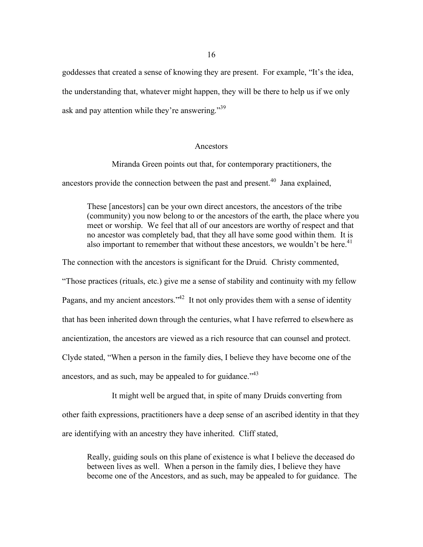goddesses that created a sense of knowing they are present. For example, "It's the idea, the understanding that, whatever might happen, they will be there to help us if we only ask and pay attention while they're answering."<sup>39</sup>

#### Ancestors

Miranda Green points out that, for contemporary practitioners, the

ancestors provide the connection between the past and present. $40$  Jana explained,

These [ancestors] can be your own direct ancestors, the ancestors of the tribe (community) you now belong to or the ancestors of the earth, the place where you meet or worship. We feel that all of our ancestors are worthy of respect and that no ancestor was completely bad, that they all have some good within them. It is also important to remember that without these ancestors, we wouldn't be here.<sup>41</sup>

The connection with the ancestors is significant for the Druid. Christy commented,

"Those practices (rituals, etc.) give me a sense of stability and continuity with my fellow

Pagans, and my ancient ancestors."<sup>42</sup> It not only provides them with a sense of identity

that has been inherited down through the centuries, what I have referred to elsewhere as

ancientization, the ancestors are viewed as a rich resource that can counsel and protect.

Clyde stated, "When a person in the family dies, I believe they have become one of the

ancestors, and as such, may be appealed to for guidance." $43$ 

It might well be argued that, in spite of many Druids converting from other faith expressions, practitioners have a deep sense of an ascribed identity in that they are identifying with an ancestry they have inherited. Cliff stated,

Really, guiding souls on this plane of existence is what I believe the deceased do between lives as well. When a person in the family dies, I believe they have become one of the Ancestors, and as such, may be appealed to for guidance. The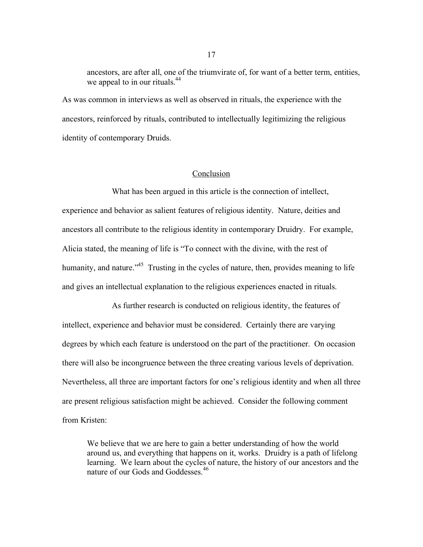ancestors, are after all, one of the triumvirate of, for want of a better term, entities, we appeal to in our rituals.<sup>44</sup>

As was common in interviews as well as observed in rituals, the experience with the ancestors, reinforced by rituals, contributed to intellectually legitimizing the religious identity of contemporary Druids.

## Conclusion

What has been argued in this article is the connection of intellect, experience and behavior as salient features of religious identity. Nature, deities and ancestors all contribute to the religious identity in contemporary Druidry. For example, Alicia stated, the meaning of life is "To connect with the divine, with the rest of humanity, and nature."<sup>45</sup> Trusting in the cycles of nature, then, provides meaning to life and gives an intellectual explanation to the religious experiences enacted in rituals.

As further research is conducted on religious identity, the features of intellect, experience and behavior must be considered. Certainly there are varying degrees by which each feature is understood on the part of the practitioner. On occasion there will also be incongruence between the three creating various levels of deprivation. Nevertheless, all three are important factors for one's religious identity and when all three are present religious satisfaction might be achieved. Consider the following comment from Kristen:

We believe that we are here to gain a better understanding of how the world around us, and everything that happens on it, works. Druidry is a path of lifelong learning. We learn about the cycles of nature, the history of our ancestors and the nature of our Gods and Goddesses. 46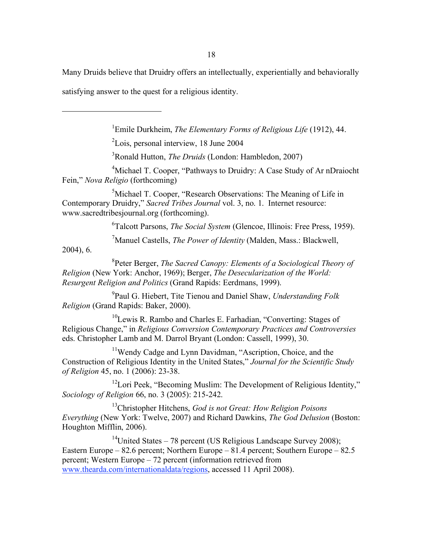18

Many Druids believe that Druidry offers an intellectually, experientially and behaviorally

satisfying answer to the quest for a religious identity.

1 Emile Durkheim, *The Elementary Forms of Religious Life* (1912), 44.

<sup>2</sup>Lois, personal interview, 18 June 2004

3 Ronald Hutton, *The Druids* (London: Hambledon, 2007)

<sup>4</sup>Michael T. Cooper, "Pathways to Druidry: A Case Study of Ar nDraiocht Fein," *Nova Religio* (forthcoming)

<sup>5</sup>Michael T. Cooper, "Research Observations: The Meaning of Life in Contemporary Druidry," *Sacred Tribes Journal* vol. 3, no. 1. Internet resource: www.sacredtribesjournal.org (forthcoming).

6 Talcott Parsons, *The Social System* (Glencoe, Illinois: Free Press, 1959).

7 Manuel Castells, *The Power of Identity* (Malden, Mass.: Blackwell,

2004), 6.

 $\overline{a}$ 

8 Peter Berger, *The Sacred Canopy: Elements of a Sociological Theory of Religion* (New York: Anchor, 1969); Berger, *The Desecularization of the World: Resurgent Religion and Politics* (Grand Rapids: Eerdmans, 1999).

9 Paul G. Hiebert, Tite Tienou and Daniel Shaw, *Understanding Folk Religion* (Grand Rapids: Baker, 2000).

<sup>10</sup> Lewis R. Rambo and Charles E. Farhadian, "Converting: Stages of Religious Change," in *Religious Conversion Contemporary Practices and Controversies* eds. Christopher Lamb and M. Darrol Bryant (London: Cassell, 1999), 30.

<sup>11</sup>Wendy Cadge and Lynn Davidman, "Ascription, Choice, and the Construction of Religious Identity in the United States," *Journal for the Scientific Study of Religion* 45, no. 1 (2006): 23-38.

<sup>12</sup> Lori Peek, "Becoming Muslim: The Development of Religious Identity," *Sociology of Religion* 66, no. 3 (2005): 215-242.

13 Christopher Hitchens, *God is not Great: How Religion Poisons Everything* (New York: Twelve, 2007) and Richard Dawkins, *The God Delusion* (Boston: Houghton Mifflin, 2006).

<sup>14</sup>United States – 78 percent (US Religious Landscape Survey 2008); Eastern Europe – 82.6 percent; Northern Europe – 81.4 percent; Southern Europe – 82.5 percent; Western Europe – 72 percent (information retrieved from www.thearda.com/internationaldata/regions, accessed 11 April 2008).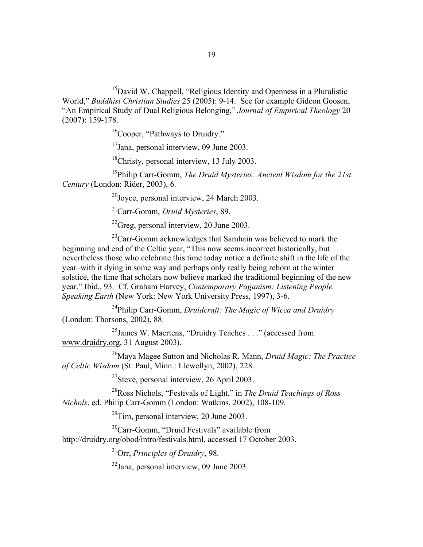<sup>15</sup>David W. Chappell, "Religious Identity and Openness in a Pluralistic World," *Buddhist Christian Studies* 25 (2005): 9-14. See for example Gideon Goosen, "An Empirical Study of Dual Religious Belonging," *Journal of Empirical Theology* 20 (2007): 159-178.

<sup>16</sup>Cooper, "Pathways to Druidry."

 $\overline{a}$ 

<sup>17</sup>Jana, personal interview, 09 June 2003.

<sup>18</sup>Christy, personal interview, 13 July 2003.

19 Philip Carr-Gomm, *The Druid Mysteries: Ancient Wisdom for the 21st Century* (London: Rider, 2003), 6.

 $^{20}$ Joyce, personal interview, 24 March 2003.

21 Carr-Gomm, *Druid Mysteries*, 89.

 $^{22}$ Greg, personal interview, 20 June 2003.

 $^{23}$ Carr-Gomm acknowledges that Samhain was believed to mark the beginning and end of the Celtic year, "This now seems incorrect historically, but nevertheless those who celebrate this time today notice a definite shift in the life of the year–with it dying in some way and perhaps only really being reborn at the winter solstice, the time that scholars now believe marked the traditional beginning of the new year." Ibid., 93. Cf. Graham Harvey, *Contemporary Paganism: Listening People, Speaking Earth* (New York: New York University Press, 1997), 3-6.

24 Philip Carr-Gomm, *Druidcraft: The Magic of Wicca and Druidry* (London: Thorsons, 2002), 88.

<sup>25</sup> James W. Maertens, "Druidry Teaches . . ." (accessed from www.druidry.org, 31 August 2003).

26 Maya Magee Sutton and Nicholas R. Mann, *Druid Magic: The Practice of Celtic Wisdom* (St. Paul, Minn.: Llewellyn, 2002), 228.

 $27$ Steve, personal interview, 26 April 2003.

28 Ross Nichols, "Festivals of Light," in *The Druid Teachings of Ross Nichols*, ed. Philip Carr-Gomm (London: Watkins, 2002), 108-109.

 $^{29}$ Tim, personal interview, 20 June 2003.

<sup>30</sup>Carr-Gomm, "Druid Festivals" available from http://druidry.org/obod/intro/festivals.html, accessed 17 October 2003.

31 Orr, *Principles of Druidry*, 98.

<sup>32</sup>Jana, personal interview, 09 June 2003.